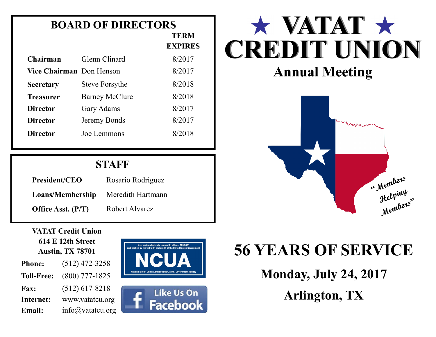## **BOARD OF DIRECTORS**

| TERM           |
|----------------|
| <b>EXPIRES</b> |

| Chairman                 | Glenn Clinard         | 8/2017 |
|--------------------------|-----------------------|--------|
| Vice Chairman Don Henson |                       | 8/2017 |
| <b>Secretary</b>         | <b>Steve Forsythe</b> | 8/2018 |
| <b>Treasurer</b>         | <b>Barney McClure</b> | 8/2018 |
| <b>Director</b>          | <b>Gary Adams</b>     | 8/2017 |
| <b>Director</b>          | Jeremy Bonds          | 8/2017 |
| <b>Director</b>          | Joe Lemmons           | 8/2018 |

## **STAFF**

| <b>President/CEO</b> | Rosario Rodriguez |  |
|----------------------|-------------------|--|
| Loans/Membership     | Meredith Hartmann |  |
| Office Asst. (P/T)   | Robert Alvarez    |  |

#### **VATAT Credit Union 614 E 12th Street Austin, TX 78701**

| <b>Phone:</b>     | $(512)$ 472-3258      |
|-------------------|-----------------------|
| <b>Toll-Free:</b> | $(800)$ 777-1825      |
| <b>Fax:</b>       | $(512)$ 617-8218      |
| Internet:         | www.vatatcu.org       |
| Email:            | $info(a)$ vatatcu.org |





# $\star$  VATAT  $\star$ **CREDIT UNION**

## **Annual Meeting**



## **56 YEARS OF SERVICE**

**Monday, July 24, 2017 Arlington, TX**